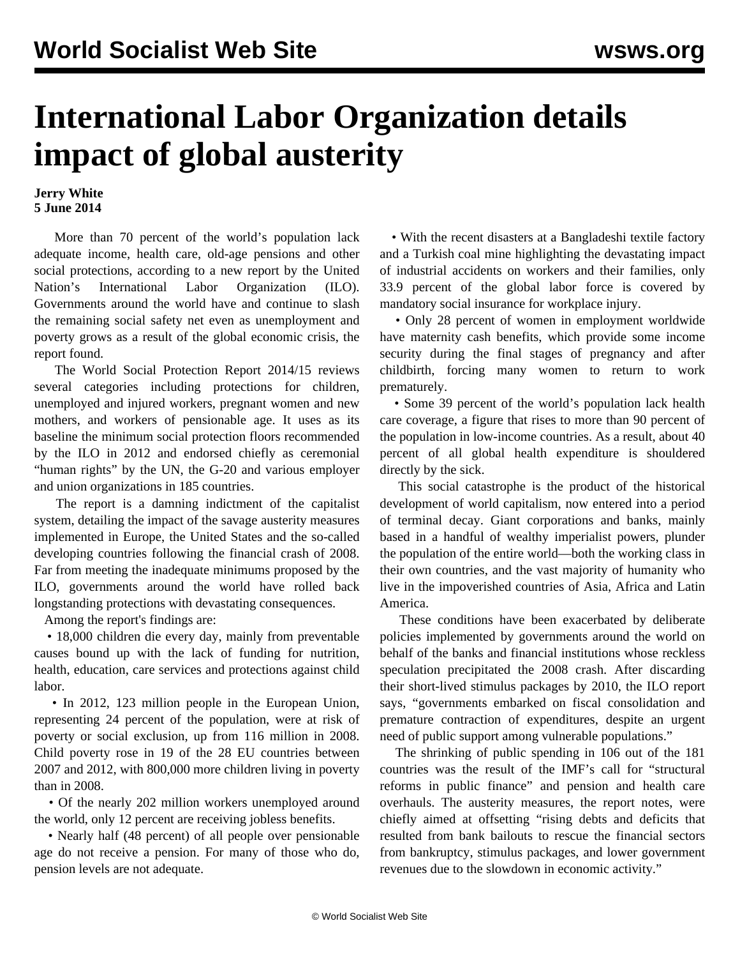## **International Labor Organization details impact of global austerity**

## **Jerry White 5 June 2014**

 More than 70 percent of the world's population lack adequate income, health care, old-age pensions and other social protections, according to a new report by the United Nation's International Labor Organization (ILO). Governments around the world have and continue to slash the remaining social safety net even as unemployment and poverty grows as a result of the global economic crisis, the report found.

 The World Social Protection Report 2014/15 reviews several categories including protections for children, unemployed and injured workers, pregnant women and new mothers, and workers of pensionable age. It uses as its baseline the minimum social protection floors recommended by the ILO in 2012 and endorsed chiefly as ceremonial "human rights" by the UN, the G-20 and various employer and union organizations in 185 countries.

 The report is a damning indictment of the capitalist system, detailing the impact of the savage austerity measures implemented in Europe, the United States and the so-called developing countries following the financial crash of 2008. Far from meeting the inadequate minimums proposed by the ILO, governments around the world have rolled back longstanding protections with devastating consequences.

Among the report's findings are:

 • 18,000 children die every day, mainly from preventable causes bound up with the lack of funding for nutrition, health, education, care services and protections against child labor.

 • In 2012, 123 million people in the European Union, representing 24 percent of the population, were at risk of poverty or social exclusion, up from 116 million in 2008. Child poverty rose in 19 of the 28 EU countries between 2007 and 2012, with 800,000 more children living in poverty than in 2008.

 • Of the nearly 202 million workers unemployed around the world, only 12 percent are receiving jobless benefits.

 • Nearly half (48 percent) of all people over pensionable age do not receive a pension. For many of those who do, pension levels are not adequate.

 • With the recent disasters at a Bangladeshi textile factory and a Turkish coal mine highlighting the devastating impact of industrial accidents on workers and their families, only 33.9 percent of the global labor force is covered by mandatory social insurance for workplace injury.

 • Only 28 percent of women in employment worldwide have maternity cash benefits, which provide some income security during the final stages of pregnancy and after childbirth, forcing many women to return to work prematurely.

 • Some 39 percent of the world's population lack health care coverage, a figure that rises to more than 90 percent of the population in low-income countries. As a result, about 40 percent of all global health expenditure is shouldered directly by the sick.

 This social catastrophe is the product of the historical development of world capitalism, now entered into a period of terminal decay. Giant corporations and banks, mainly based in a handful of wealthy imperialist powers, plunder the population of the entire world—both the working class in their own countries, and the vast majority of humanity who live in the impoverished countries of Asia, Africa and Latin America.

 These conditions have been exacerbated by deliberate policies implemented by governments around the world on behalf of the banks and financial institutions whose reckless speculation precipitated the 2008 crash. After discarding their short-lived stimulus packages by 2010, the ILO report says, "governments embarked on fiscal consolidation and premature contraction of expenditures, despite an urgent need of public support among vulnerable populations."

 The shrinking of public spending in 106 out of the 181 countries was the result of the IMF's call for "structural reforms in public finance" and pension and health care overhauls. The austerity measures, the report notes, were chiefly aimed at offsetting "rising debts and deficits that resulted from bank bailouts to rescue the financial sectors from bankruptcy, stimulus packages, and lower government revenues due to the slowdown in economic activity."